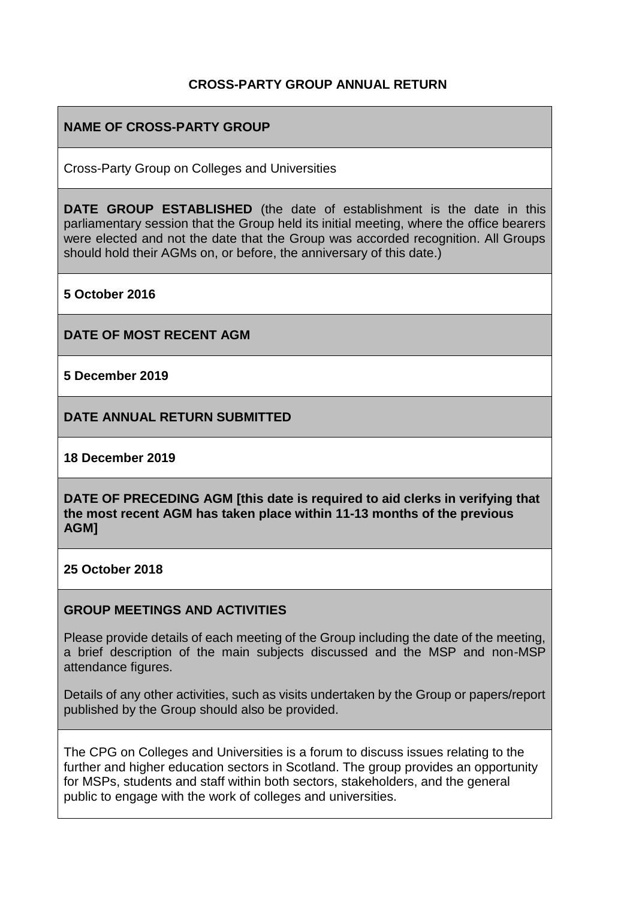### **CROSS-PARTY GROUP ANNUAL RETURN**

## **NAME OF CROSS-PARTY GROUP**

Cross-Party Group on Colleges and Universities

**DATE GROUP ESTABLISHED** (the date of establishment is the date in this parliamentary session that the Group held its initial meeting, where the office bearers were elected and not the date that the Group was accorded recognition. All Groups should hold their AGMs on, or before, the anniversary of this date.)

**5 October 2016** 

**DATE OF MOST RECENT AGM**

**5 December 2019**

**DATE ANNUAL RETURN SUBMITTED**

**18 December 2019**

**DATE OF PRECEDING AGM [this date is required to aid clerks in verifying that the most recent AGM has taken place within 11-13 months of the previous AGM]**

**25 October 2018**

#### **GROUP MEETINGS AND ACTIVITIES**

Please provide details of each meeting of the Group including the date of the meeting, a brief description of the main subjects discussed and the MSP and non-MSP attendance figures.

Details of any other activities, such as visits undertaken by the Group or papers/report published by the Group should also be provided.

The CPG on Colleges and Universities is a forum to discuss issues relating to the further and higher education sectors in Scotland. The group provides an opportunity for MSPs, students and staff within both sectors, stakeholders, and the general public to engage with the work of colleges and universities.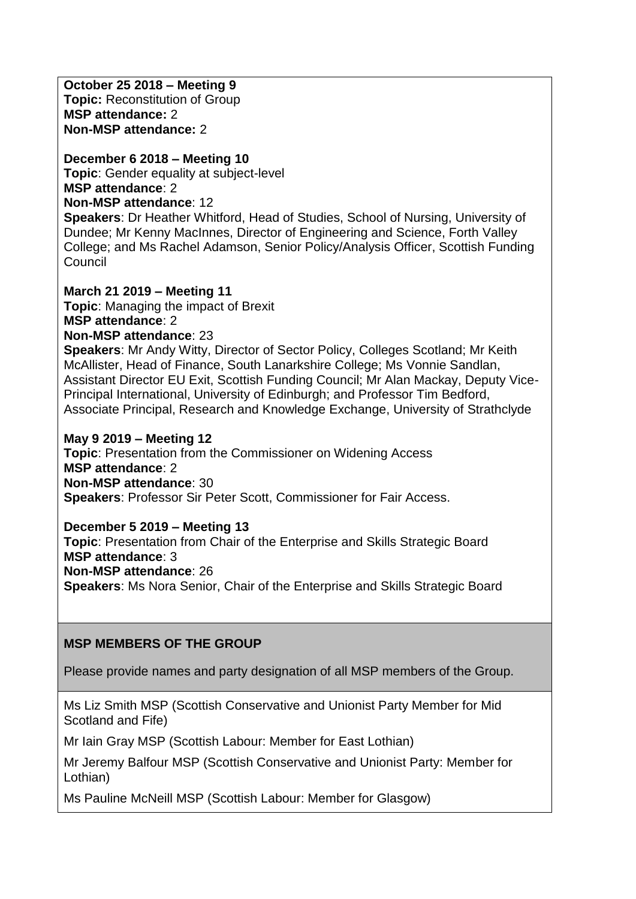**October 25 2018 – Meeting 9 Topic:** Reconstitution of Group **MSP attendance:** 2 **Non-MSP attendance:** 2

**December 6 2018 – Meeting 10 Topic**: Gender equality at subject-level **MSP attendance**: 2 **Non-MSP attendance**: 12

**Speakers**: Dr Heather Whitford, Head of Studies, School of Nursing, University of Dundee; Mr Kenny MacInnes, Director of Engineering and Science, Forth Valley College; and Ms Rachel Adamson, Senior Policy/Analysis Officer, Scottish Funding **Council** 

**March 21 2019 – Meeting 11 Topic**: Managing the impact of Brexit **MSP attendance**: 2

**Non-MSP attendance**: 23

**Speakers**: Mr Andy Witty, Director of Sector Policy, Colleges Scotland; Mr Keith McAllister, Head of Finance, South Lanarkshire College; Ms Vonnie Sandlan, Assistant Director EU Exit, Scottish Funding Council; Mr Alan Mackay, Deputy Vice-Principal International, University of Edinburgh; and Professor Tim Bedford, Associate Principal, Research and Knowledge Exchange, University of Strathclyde

#### **May 9 2019 – Meeting 12**

**Topic**: Presentation from the Commissioner on Widening Access **MSP attendance**: 2 **Non-MSP attendance**: 30 **Speakers**: Professor Sir Peter Scott, Commissioner for Fair Access.

**December 5 2019 – Meeting 13 Topic**: Presentation from Chair of the Enterprise and Skills Strategic Board **MSP attendance**: 3 **Non-MSP attendance**: 26 **Speakers**: Ms Nora Senior, Chair of the Enterprise and Skills Strategic Board

### **MSP MEMBERS OF THE GROUP**

Please provide names and party designation of all MSP members of the Group.

Ms Liz Smith MSP (Scottish Conservative and Unionist Party Member for Mid Scotland and Fife)

Mr Iain Gray MSP (Scottish Labour: Member for East Lothian)

Mr Jeremy Balfour MSP (Scottish Conservative and Unionist Party: Member for Lothian)

Ms Pauline McNeill MSP (Scottish Labour: Member for Glasgow)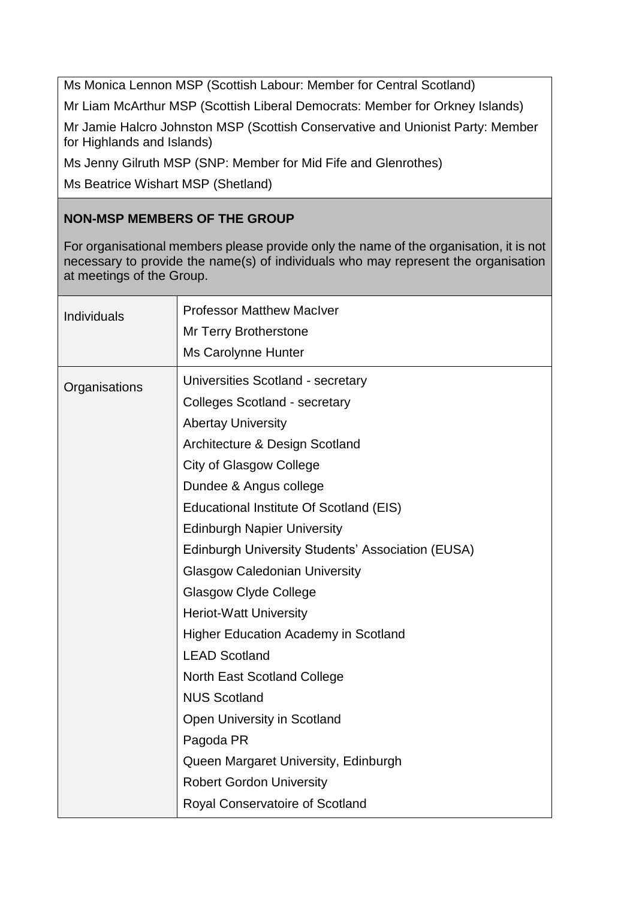Ms Monica Lennon MSP (Scottish Labour: Member for Central Scotland)

Mr Liam McArthur MSP (Scottish Liberal Democrats: Member for Orkney Islands)

Mr Jamie Halcro Johnston MSP (Scottish Conservative and Unionist Party: Member for Highlands and Islands)

Ms Jenny Gilruth MSP (SNP: Member for Mid Fife and Glenrothes)

Ms Beatrice Wishart MSP (Shetland)

# **NON-MSP MEMBERS OF THE GROUP**

For organisational members please provide only the name of the organisation, it is not necessary to provide the name(s) of individuals who may represent the organisation at meetings of the Group.

| Individuals   | <b>Professor Matthew MacIver</b><br>Mr Terry Brotherstone<br>Ms Carolynne Hunter                                                                                                                                                                                                                                                                                                                                                                                                                                                                                                                                                                                                                                                                  |
|---------------|---------------------------------------------------------------------------------------------------------------------------------------------------------------------------------------------------------------------------------------------------------------------------------------------------------------------------------------------------------------------------------------------------------------------------------------------------------------------------------------------------------------------------------------------------------------------------------------------------------------------------------------------------------------------------------------------------------------------------------------------------|
| Organisations | Universities Scotland - secretary<br><b>Colleges Scotland - secretary</b><br><b>Abertay University</b><br>Architecture & Design Scotland<br><b>City of Glasgow College</b><br>Dundee & Angus college<br>Educational Institute Of Scotland (EIS)<br><b>Edinburgh Napier University</b><br><b>Edinburgh University Students' Association (EUSA)</b><br><b>Glasgow Caledonian University</b><br><b>Glasgow Clyde College</b><br><b>Heriot-Watt University</b><br><b>Higher Education Academy in Scotland</b><br><b>LEAD Scotland</b><br>North East Scotland College<br><b>NUS Scotland</b><br>Open University in Scotland<br>Pagoda PR<br>Queen Margaret University, Edinburgh<br><b>Robert Gordon University</b><br>Royal Conservatoire of Scotland |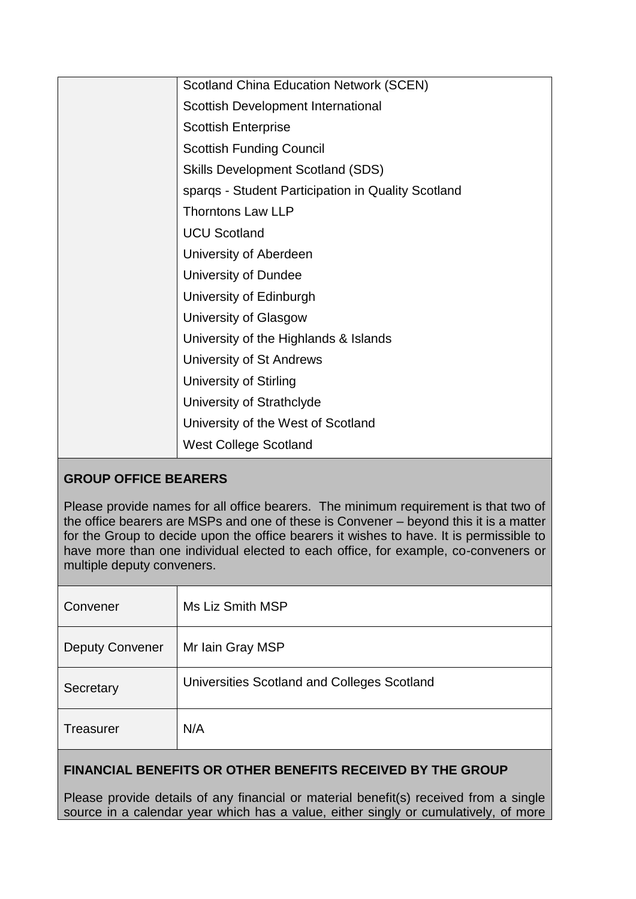| <b>Scotland China Education Network (SCEN)</b>     |
|----------------------------------------------------|
| Scottish Development International                 |
| <b>Scottish Enterprise</b>                         |
| <b>Scottish Funding Council</b>                    |
| <b>Skills Development Scotland (SDS)</b>           |
| spargs - Student Participation in Quality Scotland |
| <b>Thorntons Law LLP</b>                           |
| <b>UCU Scotland</b>                                |
| University of Aberdeen                             |
| University of Dundee                               |
| University of Edinburgh                            |
| University of Glasgow                              |
| University of the Highlands & Islands              |
| University of St Andrews                           |
| <b>University of Stirling</b>                      |
| University of Strathclyde                          |
| University of the West of Scotland                 |
| <b>West College Scotland</b>                       |

## **GROUP OFFICE BEARERS**

Please provide names for all office bearers. The minimum requirement is that two of the office bearers are MSPs and one of these is Convener – beyond this it is a matter for the Group to decide upon the office bearers it wishes to have. It is permissible to have more than one individual elected to each office, for example, co-conveners or multiple deputy conveners.

| Convener               | Ms Liz Smith MSP                            |
|------------------------|---------------------------------------------|
| <b>Deputy Convener</b> | Mr Iain Gray MSP                            |
| Secretary              | Universities Scotland and Colleges Scotland |
| <b>Treasurer</b>       | N/A                                         |

# **FINANCIAL BENEFITS OR OTHER BENEFITS RECEIVED BY THE GROUP**

Please provide details of any financial or material benefit(s) received from a single source in a calendar year which has a value, either singly or cumulatively, of more